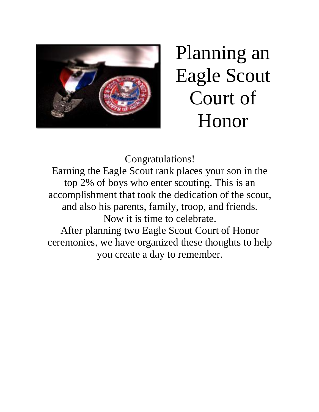

# Planning an Eagle Scout Court of Honor

Congratulations! Earning the Eagle Scout rank places your son in the top 2% of boys who enter scouting. This is an accomplishment that took the dedication of the scout, and also his parents, family, troop, and friends. Now it is time to celebrate. After planning two Eagle Scout Court of Honor ceremonies, we have organized these thoughts to help you create a day to remember.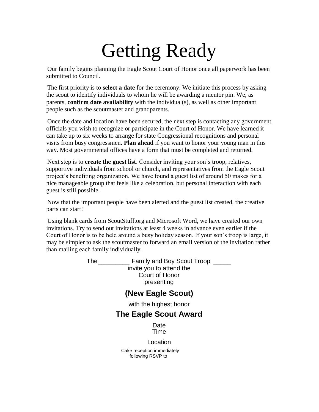# Getting Ready

Our family begins planning the Eagle Scout Court of Honor once all paperwork has been submitted to Council.

The first priority is to **select a date** for the ceremony. We initiate this process by asking the scout to identify individuals to whom he will be awarding a mentor pin. We, as parents, **confirm date availability** with the individual(s), as well as other important people such as the scoutmaster and grandparents.

Once the date and location have been secured, the next step is contacting any government officials you wish to recognize or participate in the Court of Honor. We have learned it can take up to six weeks to arrange for state Congressional recognitions and personal visits from busy congressmen. **Plan ahead** if you want to honor your young man in this way. Most governmental offices have a form that must be completed and returned.

Next step is to **create the guest list**. Consider inviting your son's troop, relatives, supportive individuals from school or church, and representatives from the Eagle Scout project's benefiting organization. We have found a guest list of around 50 makes for a nice manageable group that feels like a celebration, but personal interaction with each guest is still possible.

Now that the important people have been alerted and the guest list created, the creative parts can start!

Using blank cards from ScoutStuff.org and Microsoft Word, we have created our own invitations. Try to send out invitations at least 4 weeks in advance even earlier if the Court of Honor is to be held around a busy holiday season. If your son's troop is large, it may be simpler to ask the scoutmaster to forward an email version of the invitation rather than mailing each family individually.

> The \_\_\_\_\_\_\_\_\_\_\_\_ Family and Boy Scout Troop \_\_\_\_\_\_ invite you to attend the Court of Honor presenting

### **(New Eagle Scout)**

with the highest honor

### **The Eagle Scout Award**

Date Time

Location

Cake reception immediately following RSVP to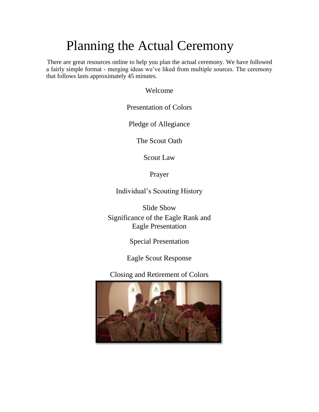## Planning the Actual Ceremony

There are great resources online to help you plan the actual ceremony. We have followed a fairly simple format - merging ideas we've liked from multiple sources. The ceremony that follows lasts approximately 45 minutes.

Welcome

Presentation of Colors

Pledge of Allegiance

The Scout Oath

Scout Law

Prayer

Individual's Scouting History

Slide Show Significance of the Eagle Rank and Eagle Presentation

Special Presentation

Eagle Scout Response

Closing and Retirement of Colors

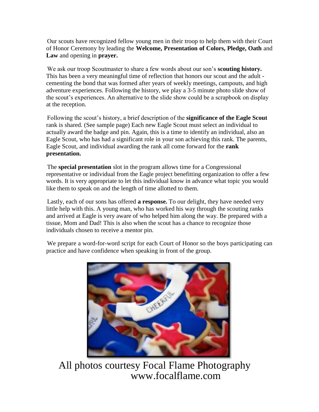Our scouts have recognized fellow young men in their troop to help them with their Court of Honor Ceremony by leading the **Welcome, Presentation of Colors, Pledge, Oath** and **Law** and opening in **prayer.**

We ask our troop Scoutmaster to share a few words about our son's **scouting history.**  This has been a very meaningful time of reflection that honors our scout and the adult cementing the bond that was formed after years of weekly meetings, campouts, and high adventure experiences. Following the history, we play a 3-5 minute photo slide show of the scout's experiences. An alternative to the slide show could be a scrapbook on display at the reception.

Following the scout's history, a brief description of the **significance of the Eagle Scout**  rank is shared. (See sample page) Each new Eagle Scout must select an individual to actually award the badge and pin. Again, this is a time to identify an individual, also an Eagle Scout, who has had a significant role in your son achieving this rank. The parents, Eagle Scout, and individual awarding the rank all come forward for the **rank presentation.**

The **special presentation** slot in the program allows time for a Congressional representative or individual from the Eagle project benefitting organization to offer a few words. It is very appropriate to let this individual know in advance what topic you would like them to speak on and the length of time allotted to them.

Lastly, each of our sons has offered **a response.** To our delight, they have needed very little help with this. A young man, who has worked his way through the scouting ranks and arrived at Eagle is very aware of who helped him along the way. Be prepared with a tissue, Mom and Dad! This is also when the scout has a chance to recognize those individuals chosen to receive a mentor pin.

We prepare a word-for-word script for each Court of Honor so the boys participating can practice and have confidence when speaking in front of the group.



All photos courtesy Focal Flame Photography [www.focalflame.com](http://www.focalflame.com/)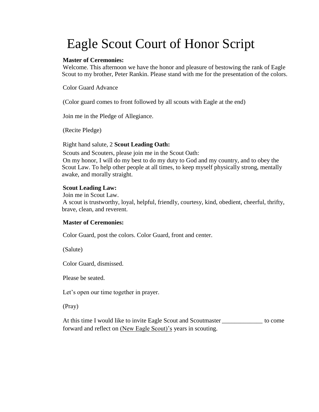## Eagle Scout Court of Honor Script

#### **Master of Ceremonies:**

Welcome. This afternoon we have the honor and pleasure of bestowing the rank of Eagle Scout to my brother, Peter Rankin. Please stand with me for the presentation of the colors.

Color Guard Advance

(Color guard comes to front followed by all scouts with Eagle at the end)

Join me in the Pledge of Allegiance.

(Recite Pledge)

#### Right hand salute, 2 **Scout Leading Oath:**

Scouts and Scouters, please join me in the Scout Oath: On my honor, I will do my best to do my duty to God and my country, and to obey the Scout Law. To help other people at all times, to keep myself physically strong, mentally awake, and morally straight.

#### **Scout Leading Law:**

Join me in Scout Law.

A scout is trustworthy, loyal, helpful, friendly, courtesy, kind, obedient, cheerful, thrifty, brave, clean, and reverent.

#### **Master of Ceremonies:**

Color Guard, post the colors. Color Guard, front and center.

(Salute)

Color Guard, dismissed.

Please be seated.

Let's open our time together in prayer.

(Pray)

At this time I would like to invite Eagle Scout and Scoutmaster \_\_\_\_\_\_\_\_\_\_\_\_\_\_ to come forward and reflect on (New Eagle Scout)'s years in scouting.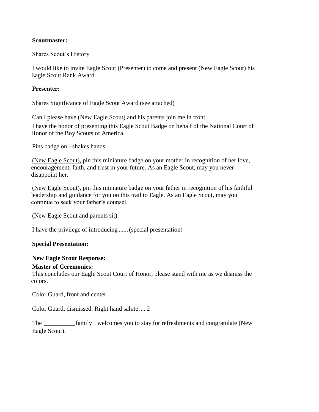#### **Scoutmaster:**

Shares Scout's History

I would like to invite Eagle Scout (Presenter) to come and present (New Eagle Scout) his Eagle Scout Rank Award.

#### **Presenter:**

Shares Significance of Eagle Scout Award (see attached)

Can I please have (New Eagle Scout) and his parents join me in front. I have the honor of presenting this Eagle Scout Badge on behalf of the National Court of Honor of the Boy Scouts of America.

Pins badge on - shakes hands

(New Eagle Scout), pin this miniature badge on your mother in recognition of her love, encouragement, faith, and trust in your future. As an Eagle Scout, may you never disappoint her.

(New Eagle Scout), pin this miniature badge on your father in recognition of his faithful leadership and guidance for you on this trail to Eagle. As an Eagle Scout, may you continue to seek your father's counsel.

(New Eagle Scout and parents sit)

I have the privilege of introducing ......(special presentation)

#### **Special Presentation:**

#### **New Eagle Scout Response:**

#### **Master of Ceremonies:**

This concludes our Eagle Scout Court of Honor, please stand with me as we dismiss the colors.

Color Guard, front and center.

Color Guard, dismissed. Right hand salute .... 2

The <u>comess</u> family welcomes you to stay for refreshments and congratulate (New Eagle Scout).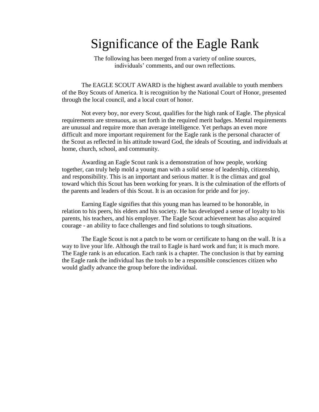### Significance of the Eagle Rank

The following has been merged from a variety of online sources, individuals' comments, and our own reflections.

The EAGLE SCOUT AWARD is the highest award available to youth members of the Boy Scouts of America. It is recognition by the National Court of Honor, presented through the local council, and a local court of honor.

Not every boy, nor every Scout, qualifies for the high rank of Eagle. The physical requirements are strenuous, as set forth in the required merit badges. Mental requirements are unusual and require more than average intelligence. Yet perhaps an even more difficult and more important requirement for the Eagle rank is the personal character of the Scout as reflected in his attitude toward God, the ideals of Scouting, and individuals at home, church, school, and community.

Awarding an Eagle Scout rank is a demonstration of how people, working together, can truly help mold a young man with a solid sense of leadership, citizenship, and responsibility. This is an important and serious matter. It is the climax and goal toward which this Scout has been working for years. It is the culmination of the efforts of the parents and leaders of this Scout. It is an occasion for pride and for joy.

Earning Eagle signifies that this young man has learned to be honorable, in relation to his peers, his elders and his society. He has developed a sense of loyalty to his parents, his teachers, and his employer. The Eagle Scout achievement has also acquired courage - an ability to face challenges and find solutions to tough situations.

The Eagle Scout is not a patch to be worn or certificate to hang on the wall. It is a way to live your life. Although the trail to Eagle is hard work and fun; it is much more. The Eagle rank is an education. Each rank is a chapter. The conclusion is that by earning the Eagle rank the individual has the tools to be a responsible consciences citizen who would gladly advance the group before the individual.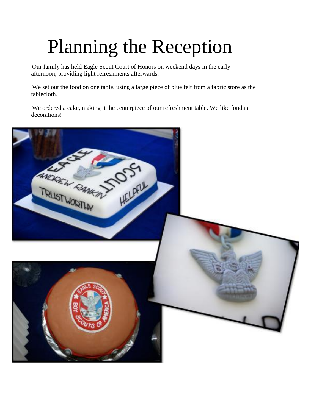# Planning the Reception

Our family has held Eagle Scout Court of Honors on weekend days in the early afternoon, providing light refreshments afterwards.

We set out the food on one table, using a large piece of blue felt from a fabric store as the tablecloth.

We ordered a cake, making it the centerpiece of our refreshment table. We like fondant decorations!

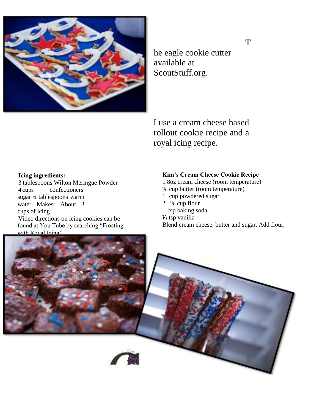

he eagle cookie cutter available at ScoutStuff.org.

I use a cream cheese based rollout cookie recipe and a royal icing recipe.

#### **Icing ingredients:**

3 tablespoons Wilton Meringue Powder 4 cups confectioners' sugar 6 tablespoons warm water Makes: About 3 cups of icing Video directions on icing cookies can be found at You Tube by searching "Frosting with Royal Icing"

#### **Kim's Cream Cheese Cookie Recipe**

- 1 8oz cream cheese (room temperature)
- % cup butter (room temperature)
- 1 cup powdered sugar
- 2 % cup flour
- tsp baking soda
- *V<sup>2</sup>* tsp vanilla

Blend cream cheese, butter and sugar. Add flour,



T